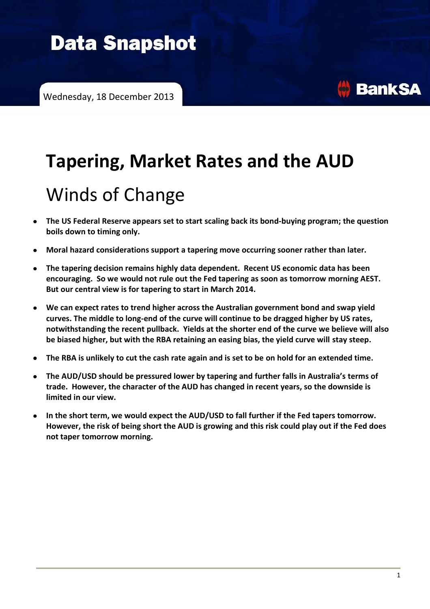# **Data Snapshot**

# **Tapering, Market Rates and the AUD**

# Winds of Change

- **The US Federal Reserve appears set to start scaling back its bond-buying program; the question boils down to timing only.**
- **Moral hazard considerations support a tapering move occurring sooner rather than later.**
- **The tapering decision remains highly data dependent. Recent US economic data has been encouraging. So we would not rule out the Fed tapering as soon as tomorrow morning AEST. But our central view is for tapering to start in March 2014.**
- **We can expect rates to trend higher across the Australian government bond and swap yield**   $\bullet$ **curves. The middle to long-end of the curve will continue to be dragged higher by US rates, notwithstanding the recent pullback. Yields at the shorter end of the curve we believe will also be biased higher, but with the RBA retaining an easing bias, the yield curve will stay steep.**
- **The RBA is unlikely to cut the cash rate again and is set to be on hold for an extended time.**
- **The AUD/USD should be pressured lower by tapering and further falls in Australia's terms of trade. However, the character of the AUD has changed in recent years, so the downside is limited in our view.**
- **In the short term, we would expect the AUD/USD to fall further if the Fed tapers tomorrow. However, the risk of being short the AUD is growing and this risk could play out if the Fed does not taper tomorrow morning.**

**BankSA**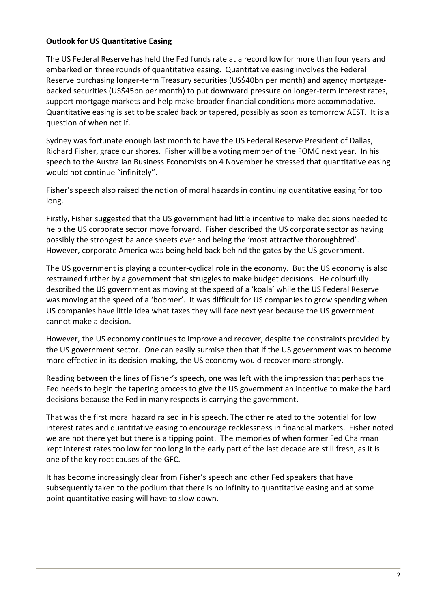## **Outlook for US Quantitative Easing**

The US Federal Reserve has held the Fed funds rate at a record low for more than four years and embarked on three rounds of quantitative easing. Quantitative easing involves the Federal Reserve purchasing longer-term Treasury securities (US\$40bn per month) and agency mortgagebacked securities (US\$45bn per month) to put downward pressure on longer-term interest rates, support mortgage markets and help make broader financial conditions more accommodative. Quantitative easing is set to be scaled back or tapered, possibly as soon as tomorrow AEST. It is a question of when not if.

Sydney was fortunate enough last month to have the US Federal Reserve President of Dallas, Richard Fisher, grace our shores. Fisher will be a voting member of the FOMC next year. In his speech to the Australian Business Economists on 4 November he stressed that quantitative easing would not continue "infinitely".

Fisher's speech also raised the notion of moral hazards in continuing quantitative easing for too long.

Firstly, Fisher suggested that the US government had little incentive to make decisions needed to help the US corporate sector move forward. Fisher described the US corporate sector as having possibly the strongest balance sheets ever and being the 'most attractive thoroughbred'. However, corporate America was being held back behind the gates by the US government.

The US government is playing a counter-cyclical role in the economy. But the US economy is also restrained further by a government that struggles to make budget decisions. He colourfully described the US government as moving at the speed of a 'koala' while the US Federal Reserve was moving at the speed of a 'boomer'. It was difficult for US companies to grow spending when US companies have little idea what taxes they will face next year because the US government cannot make a decision.

However, the US economy continues to improve and recover, despite the constraints provided by the US government sector. One can easily surmise then that if the US government was to become more effective in its decision-making, the US economy would recover more strongly.

Reading between the lines of Fisher's speech, one was left with the impression that perhaps the Fed needs to begin the tapering process to give the US government an incentive to make the hard decisions because the Fed in many respects is carrying the government.

That was the first moral hazard raised in his speech. The other related to the potential for low interest rates and quantitative easing to encourage recklessness in financial markets. Fisher noted we are not there yet but there is a tipping point. The memories of when former Fed Chairman kept interest rates too low for too long in the early part of the last decade are still fresh, as it is one of the key root causes of the GFC.

It has become increasingly clear from Fisher's speech and other Fed speakers that have subsequently taken to the podium that there is no infinity to quantitative easing and at some point quantitative easing will have to slow down.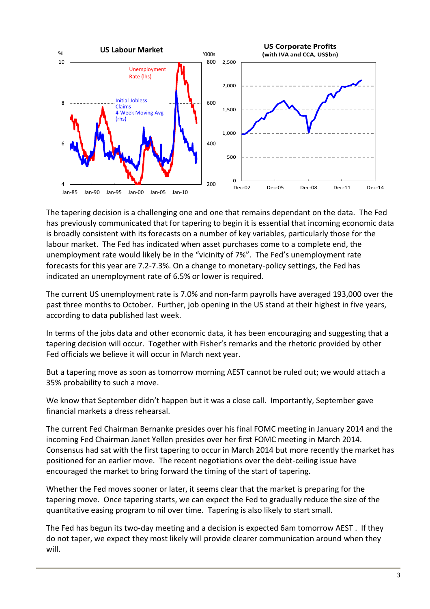

The tapering decision is a challenging one and one that remains dependant on the data. The Fed has previously communicated that for tapering to begin it is essential that incoming economic data is broadly consistent with its forecasts on a number of key variables, particularly those for the labour market. The Fed has indicated when asset purchases come to a complete end, the unemployment rate would likely be in the "vicinity of 7%". The Fed's unemployment rate forecasts for this year are 7.2-7.3%. On a change to monetary-policy settings, the Fed has indicated an unemployment rate of 6.5% or lower is required.

The current US unemployment rate is 7.0% and non-farm payrolls have averaged 193,000 over the past three months to October. Further, job opening in the US stand at their highest in five years, according to data published last week.

In terms of the jobs data and other economic data, it has been encouraging and suggesting that a tapering decision will occur. Together with Fisher's remarks and the rhetoric provided by other Fed officials we believe it will occur in March next year.

But a tapering move as soon as tomorrow morning AEST cannot be ruled out; we would attach a 35% probability to such a move.

We know that September didn't happen but it was a close call. Importantly, September gave financial markets a dress rehearsal.

The current Fed Chairman Bernanke presides over his final FOMC meeting in January 2014 and the incoming Fed Chairman Janet Yellen presides over her first FOMC meeting in March 2014. Consensus had sat with the first tapering to occur in March 2014 but more recently the market has positioned for an earlier move. The recent negotiations over the debt-ceiling issue have encouraged the market to bring forward the timing of the start of tapering.

Whether the Fed moves sooner or later, it seems clear that the market is preparing for the tapering move. Once tapering starts, we can expect the Fed to gradually reduce the size of the quantitative easing program to nil over time. Tapering is also likely to start small.

The Fed has begun its two-day meeting and a decision is expected 6am tomorrow AEST . If they do not taper, we expect they most likely will provide clearer communication around when they will.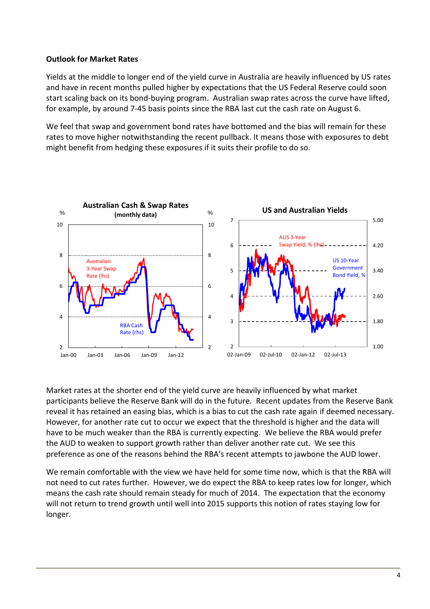## **Outlook for Market Rates**

Yields at the middle to longer end of the yield curve in Australia are heavily influenced by US rates and have in recent months pulled higher by expectations that the US Federal Reserve could soon start scaling back on its bond-buying program. Australian swap rates across the curve have lifted, for example, by around 7-45 basis points since the RBA last cut the cash rate on August 6.

We feel that swap and government bond rates have bottomed and the bias will remain for these rates to move higher notwithstanding the recent pullback. It means those with exposures to debt might benefit from hedging these exposures if it suits their profile to do so.



Market rates at the shorter end of the yield curve are heavily influenced by what market participants believe the Reserve Bank will do in the future. Recent updates from the Reserve Bank reveal it has retained an easing bias, which is a bias to cut the cash rate again if deemed necessary. However, for another rate cut to occur we expect that the threshold is higher and the data will have to be much weaker than the RBA is currently expecting. We believe the RBA would prefer the AUD to weaken to support growth rather than deliver another rate cut. We see this preference as one of the reasons behind the RBA's recent attempts to jawbone the AUD lower.

We remain comfortable with the view we have held for some time now, which is that the RBA will not need to cut rates further. However, we do expect the RBA to keep rates low for longer, which means the cash rate should remain steady for much of 2014. The expectation that the economy will not return to trend growth until well into 2015 supports this notion of rates staying low for longer.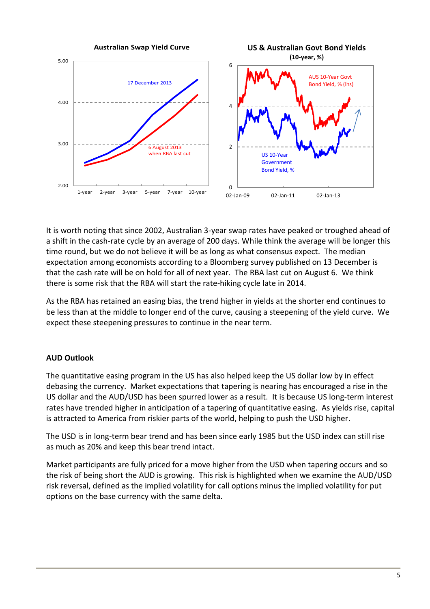

It is worth noting that since 2002, Australian 3-year swap rates have peaked or troughed ahead of a shift in the cash-rate cycle by an average of 200 days. While think the average will be longer this time round, but we do not believe it will be as long as what consensus expect. The median expectation among economists according to a Bloomberg survey published on 13 December is that the cash rate will be on hold for all of next year. The RBA last cut on August 6. We think there is some risk that the RBA will start the rate-hiking cycle late in 2014.

As the RBA has retained an easing bias, the trend higher in yields at the shorter end continues to be less than at the middle to longer end of the curve, causing a steepening of the yield curve. We expect these steepening pressures to continue in the near term.

## **AUD Outlook**

The quantitative easing program in the US has also helped keep the US dollar low by in effect debasing the currency. Market expectations that tapering is nearing has encouraged a rise in the US dollar and the AUD/USD has been spurred lower as a result. It is because US long-term interest rates have trended higher in anticipation of a tapering of quantitative easing. As yields rise, capital is attracted to America from riskier parts of the world, helping to push the USD higher.

The USD is in long-term bear trend and has been since early 1985 but the USD index can still rise as much as 20% and keep this bear trend intact.

Market participants are fully priced for a move higher from the USD when tapering occurs and so the risk of being short the AUD is growing. This risk is highlighted when we examine the AUD/USD risk reversal, defined as the implied volatility for call options minus the implied volatility for put options on the base currency with the same delta.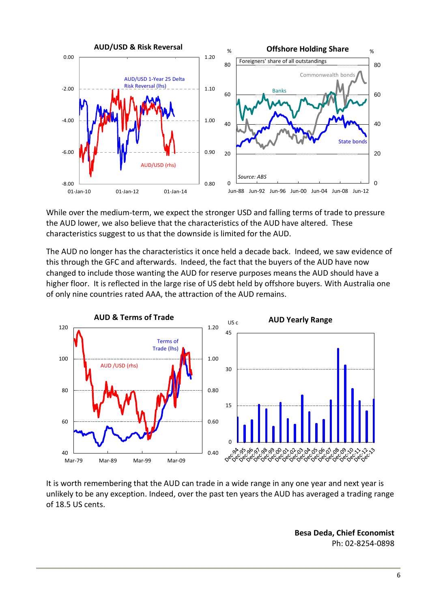

While over the medium-term, we expect the stronger USD and falling terms of trade to pressure the AUD lower, we also believe that the characteristics of the AUD have altered. These characteristics suggest to us that the downside is limited for the AUD.

The AUD no longer has the characteristics it once held a decade back. Indeed, we saw evidence of this through the GFC and afterwards. Indeed, the fact that the buyers of the AUD have now changed to include those wanting the AUD for reserve purposes means the AUD should have a higher floor. It is reflected in the large rise of US debt held by offshore buyers. With Australia one of only nine countries rated AAA, the attraction of the AUD remains.



It is worth remembering that the AUD can trade in a wide range in any one year and next year is unlikely to be any exception. Indeed, over the past ten years the AUD has averaged a trading range of 18.5 US cents.

> **Besa Deda, Chief Economist** Ph: 02-8254-0898